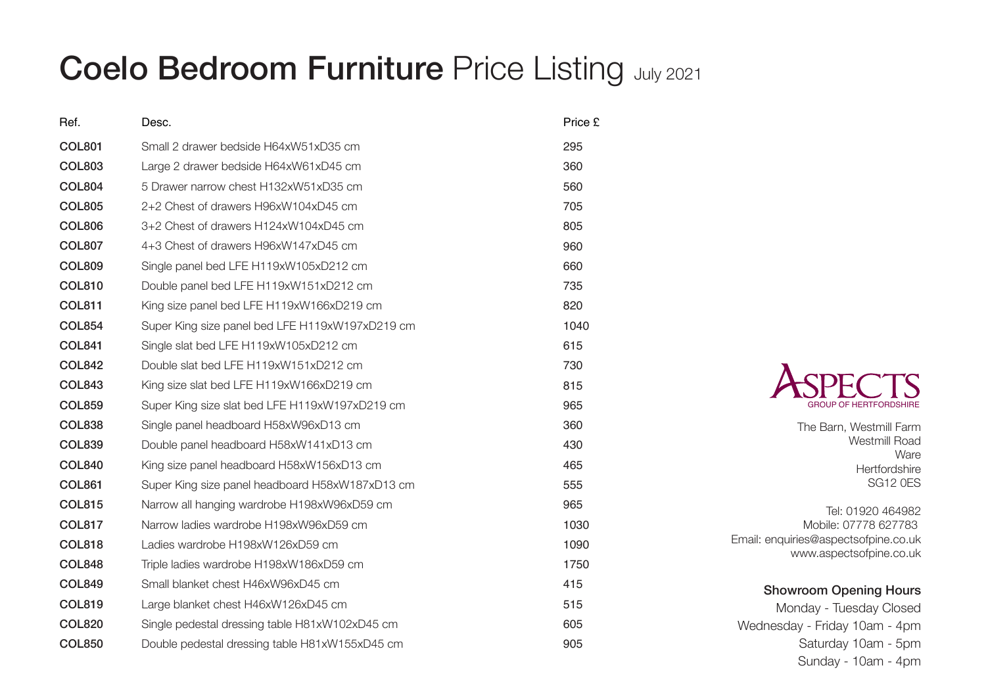## Coelo Bedroom Furniture Price Listing July 2021

| Ref.          | Desc.                                           | Price £ |
|---------------|-------------------------------------------------|---------|
| <b>COL801</b> | Small 2 drawer bedside H64xW51xD35 cm           | 295     |
| <b>COL803</b> | Large 2 drawer bedside H64xW61xD45 cm           | 360     |
| <b>COL804</b> | 5 Drawer narrow chest H132xW51xD35 cm           | 560     |
| <b>COL805</b> | 2+2 Chest of drawers H96xW104xD45 cm            | 705     |
| <b>COL806</b> | 3+2 Chest of drawers H124xW104xD45 cm           | 805     |
| <b>COL807</b> | 4+3 Chest of drawers H96xW147xD45 cm            | 960     |
| <b>COL809</b> | Single panel bed LFE H119xW105xD212 cm          | 660     |
| <b>COL810</b> | Double panel bed LFE H119xW151xD212 cm          | 735     |
| <b>COL811</b> | King size panel bed LFE H119xW166xD219 cm       | 820     |
| <b>COL854</b> | Super King size panel bed LFE H119xW197xD219 cm | 1040    |
| <b>COL841</b> | Single slat bed LFE H119xW105xD212 cm           | 615     |
| <b>COL842</b> | Double slat bed LFE H119xW151xD212 cm           | 730     |
| <b>COL843</b> | King size slat bed LFE H119xW166xD219 cm        | 815     |
| <b>COL859</b> | Super King size slat bed LFE H119xW197xD219 cm  | 965     |
| <b>COL838</b> | Single panel headboard H58xW96xD13 cm           | 360     |
| <b>COL839</b> | Double panel headboard H58xW141xD13 cm          | 430     |
| <b>COL840</b> | King size panel headboard H58xW156xD13 cm       | 465     |
| <b>COL861</b> | Super King size panel headboard H58xW187xD13 cm | 555     |
| <b>COL815</b> | Narrow all hanging wardrobe H198xW96xD59 cm     | 965     |
| <b>COL817</b> | Narrow ladies wardrobe H198xW96xD59 cm          | 1030    |
| <b>COL818</b> | Ladies wardrobe H198xW126xD59 cm                | 1090    |
| <b>COL848</b> | Triple ladies wardrobe H198xW186xD59 cm         | 1750    |
| <b>COL849</b> | Small blanket chest H46xW96xD45 cm              | 415     |
| <b>COL819</b> | Large blanket chest H46xW126xD45 cm             | 515     |
| <b>COL820</b> | Single pedestal dressing table H81xW102xD45 cm  | 605     |
| <b>COL850</b> | Double pedestal dressing table H81xW155xD45 cm  | 905     |



The Barn, Westmill Farm Westmill Road Ware **Hertfordshire** SG12 0ES

Tel: 01920 464982 Mobile: 07778 627783 Email: enquiries@aspectsofpine.co.uk www.aspectsofpine.co.uk

## Showroom Opening Hours

Monday - Tuesday Closed Wednesday - Friday 10am - 4pm Saturday 10am - 5pm Sunday - 10am - 4pm